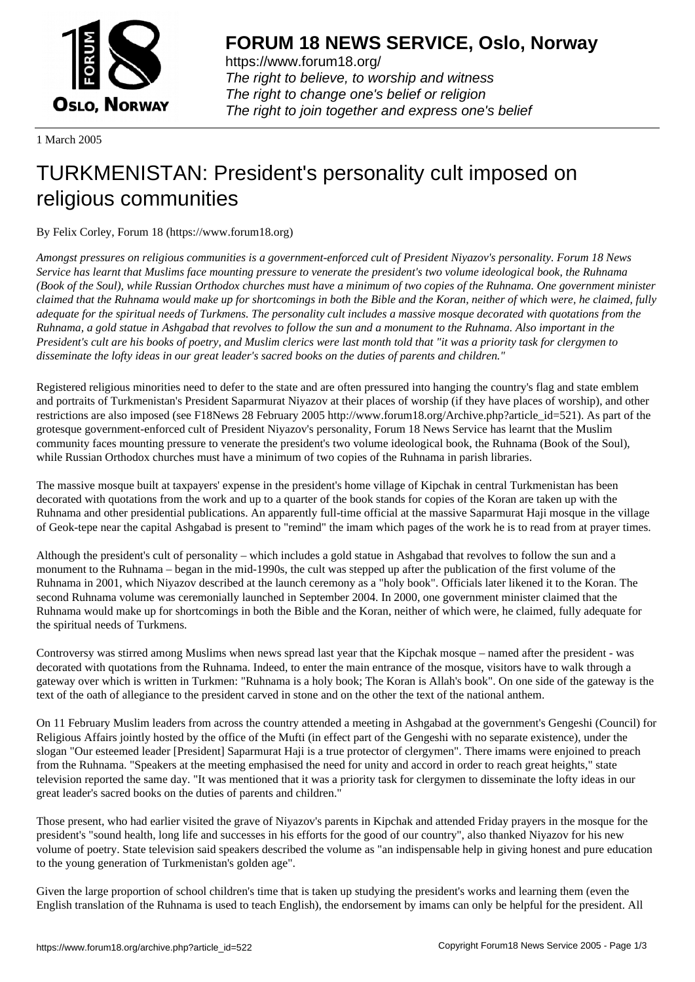

https://www.forum18.org/ The right to believe, to worship and witness The right to change one's belief or religion [The right to join together a](https://www.forum18.org/)nd express one's belief

1 March 2005

## [TURKMENISTA](https://www.forum18.org)N: President's personality cult imposed on religious communities

## By Felix Corley, Forum 18 (https://www.forum18.org)

*Amongst pressures on religious communities is a government-enforced cult of President Niyazov's personality. Forum 18 News Service has learnt that Muslims face mounting pressure to venerate the president's two volume ideological book, the Ruhnama (Book of the Soul), while Russian Orthodox churches must have a minimum of two copies of the Ruhnama. One government minister claimed that the Ruhnama would make up for shortcomings in both the Bible and the Koran, neither of which were, he claimed, fully adequate for the spiritual needs of Turkmens. The personality cult includes a massive mosque decorated with quotations from the Ruhnama, a gold statue in Ashgabad that revolves to follow the sun and a monument to the Ruhnama. Also important in the President's cult are his books of poetry, and Muslim clerics were last month told that "it was a priority task for clergymen to disseminate the lofty ideas in our great leader's sacred books on the duties of parents and children."*

Registered religious minorities need to defer to the state and are often pressured into hanging the country's flag and state emblem and portraits of Turkmenistan's President Saparmurat Niyazov at their places of worship (if they have places of worship), and other restrictions are also imposed (see F18News 28 February 2005 http://www.forum18.org/Archive.php?article\_id=521). As part of the grotesque government-enforced cult of President Niyazov's personality, Forum 18 News Service has learnt that the Muslim community faces mounting pressure to venerate the president's two volume ideological book, the Ruhnama (Book of the Soul), while Russian Orthodox churches must have a minimum of two copies of the Ruhnama in parish libraries.

The massive mosque built at taxpayers' expense in the president's home village of Kipchak in central Turkmenistan has been decorated with quotations from the work and up to a quarter of the book stands for copies of the Koran are taken up with the Ruhnama and other presidential publications. An apparently full-time official at the massive Saparmurat Haji mosque in the village of Geok-tepe near the capital Ashgabad is present to "remind" the imam which pages of the work he is to read from at prayer times.

Although the president's cult of personality – which includes a gold statue in Ashgabad that revolves to follow the sun and a monument to the Ruhnama – began in the mid-1990s, the cult was stepped up after the publication of the first volume of the Ruhnama in 2001, which Niyazov described at the launch ceremony as a "holy book". Officials later likened it to the Koran. The second Ruhnama volume was ceremonially launched in September 2004. In 2000, one government minister claimed that the Ruhnama would make up for shortcomings in both the Bible and the Koran, neither of which were, he claimed, fully adequate for the spiritual needs of Turkmens.

Controversy was stirred among Muslims when news spread last year that the Kipchak mosque – named after the president - was decorated with quotations from the Ruhnama. Indeed, to enter the main entrance of the mosque, visitors have to walk through a gateway over which is written in Turkmen: "Ruhnama is a holy book; The Koran is Allah's book". On one side of the gateway is the text of the oath of allegiance to the president carved in stone and on the other the text of the national anthem.

On 11 February Muslim leaders from across the country attended a meeting in Ashgabad at the government's Gengeshi (Council) for Religious Affairs jointly hosted by the office of the Mufti (in effect part of the Gengeshi with no separate existence), under the slogan "Our esteemed leader [President] Saparmurat Haji is a true protector of clergymen". There imams were enjoined to preach from the Ruhnama. "Speakers at the meeting emphasised the need for unity and accord in order to reach great heights," state television reported the same day. "It was mentioned that it was a priority task for clergymen to disseminate the lofty ideas in our great leader's sacred books on the duties of parents and children."

Those present, who had earlier visited the grave of Niyazov's parents in Kipchak and attended Friday prayers in the mosque for the president's "sound health, long life and successes in his efforts for the good of our country", also thanked Niyazov for his new volume of poetry. State television said speakers described the volume as "an indispensable help in giving honest and pure education to the young generation of Turkmenistan's golden age".

Given the large proportion of school children's time that is taken up studying the president's works and learning them (even the English translation of the Ruhnama is used to teach English), the endorsement by imams can only be helpful for the president. All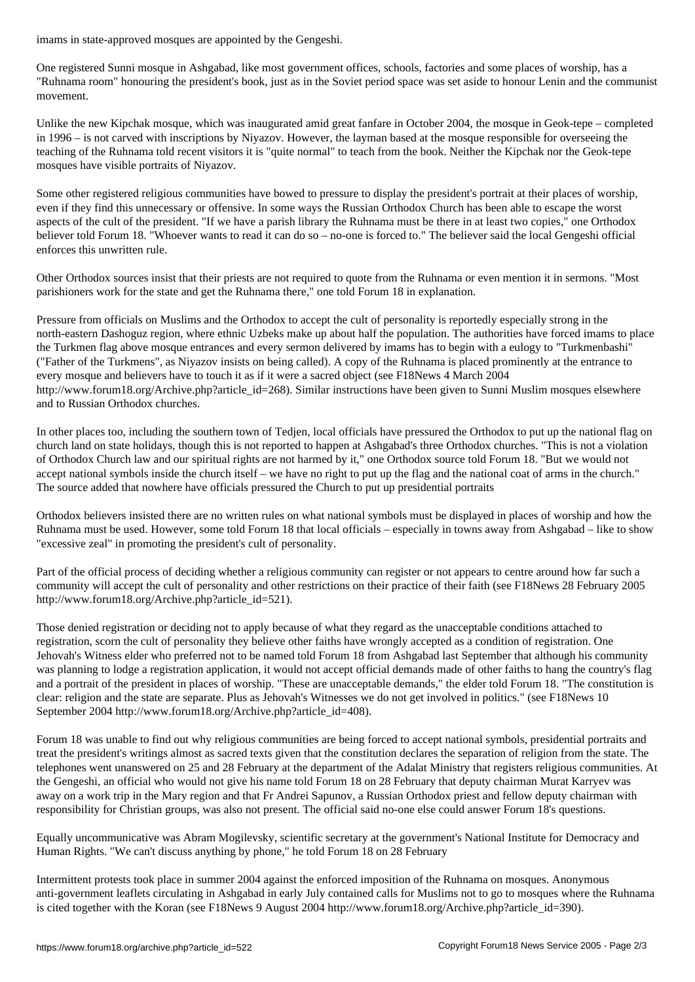One registered Sunni mosque in Ashgabad, like most government offices, schools, factories and some places of worship, has a "Ruhnama room" honouring the president's book, just as in the Soviet period space was set aside to honour Lenin and the communist movement.

Unlike the new Kipchak mosque, which was inaugurated amid great fanfare in October 2004, the mosque in Geok-tepe – completed in 1996 – is not carved with inscriptions by Niyazov. However, the layman based at the mosque responsible for overseeing the teaching of the Ruhnama told recent visitors it is "quite normal" to teach from the book. Neither the Kipchak nor the Geok-tepe mosques have visible portraits of Niyazov.

Some other registered religious communities have bowed to pressure to display the president's portrait at their places of worship, even if they find this unnecessary or offensive. In some ways the Russian Orthodox Church has been able to escape the worst aspects of the cult of the president. "If we have a parish library the Ruhnama must be there in at least two copies," one Orthodox believer told Forum 18. "Whoever wants to read it can do so – no-one is forced to." The believer said the local Gengeshi official enforces this unwritten rule.

Other Orthodox sources insist that their priests are not required to quote from the Ruhnama or even mention it in sermons. "Most parishioners work for the state and get the Ruhnama there," one told Forum 18 in explanation.

Pressure from officials on Muslims and the Orthodox to accept the cult of personality is reportedly especially strong in the north-eastern Dashoguz region, where ethnic Uzbeks make up about half the population. The authorities have forced imams to place the Turkmen flag above mosque entrances and every sermon delivered by imams has to begin with a eulogy to "Turkmenbashi" ("Father of the Turkmens", as Niyazov insists on being called). A copy of the Ruhnama is placed prominently at the entrance to every mosque and believers have to touch it as if it were a sacred object (see F18News 4 March 2004 http://www.forum18.org/Archive.php?article\_id=268). Similar instructions have been given to Sunni Muslim mosques elsewhere and to Russian Orthodox churches.

In other places too, including the southern town of Tedjen, local officials have pressured the Orthodox to put up the national flag on church land on state holidays, though this is not reported to happen at Ashgabad's three Orthodox churches. "This is not a violation of Orthodox Church law and our spiritual rights are not harmed by it," one Orthodox source told Forum 18. "But we would not accept national symbols inside the church itself – we have no right to put up the flag and the national coat of arms in the church." The source added that nowhere have officials pressured the Church to put up presidential portraits

Orthodox believers insisted there are no written rules on what national symbols must be displayed in places of worship and how the Ruhnama must be used. However, some told Forum 18 that local officials – especially in towns away from Ashgabad – like to show "excessive zeal" in promoting the president's cult of personality.

Part of the official process of deciding whether a religious community can register or not appears to centre around how far such a community will accept the cult of personality and other restrictions on their practice of their faith (see F18News 28 February 2005 http://www.forum18.org/Archive.php?article\_id=521).

Those denied registration or deciding not to apply because of what they regard as the unacceptable conditions attached to registration, scorn the cult of personality they believe other faiths have wrongly accepted as a condition of registration. One Jehovah's Witness elder who preferred not to be named told Forum 18 from Ashgabad last September that although his community was planning to lodge a registration application, it would not accept official demands made of other faiths to hang the country's flag and a portrait of the president in places of worship. "These are unacceptable demands," the elder told Forum 18. "The constitution is clear: religion and the state are separate. Plus as Jehovah's Witnesses we do not get involved in politics." (see F18News 10 September 2004 http://www.forum18.org/Archive.php?article\_id=408).

Forum 18 was unable to find out why religious communities are being forced to accept national symbols, presidential portraits and treat the president's writings almost as sacred texts given that the constitution declares the separation of religion from the state. The telephones went unanswered on 25 and 28 February at the department of the Adalat Ministry that registers religious communities. At the Gengeshi, an official who would not give his name told Forum 18 on 28 February that deputy chairman Murat Karryev was away on a work trip in the Mary region and that Fr Andrei Sapunov, a Russian Orthodox priest and fellow deputy chairman with responsibility for Christian groups, was also not present. The official said no-one else could answer Forum 18's questions.

Equally uncommunicative was Abram Mogilevsky, scientific secretary at the government's National Institute for Democracy and Human Rights. "We can't discuss anything by phone," he told Forum 18 on 28 February

Intermittent protests took place in summer 2004 against the enforced imposition of the Ruhnama on mosques. Anonymous anti-government leaflets circulating in Ashgabad in early July contained calls for Muslims not to go to mosques where the Ruhnama is cited together with the Koran (see F18News 9 August 2004 http://www.forum18.org/Archive.php?article\_id=390).